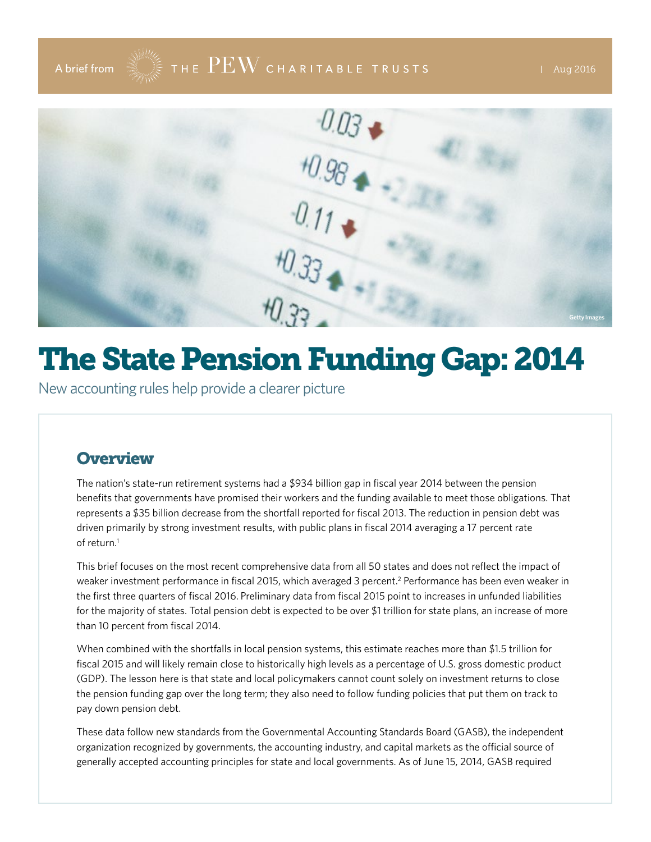# A brief from  $\frac{1}{2}$   $\frac{1}{2}$   $\frac{1}{2}$   $\frac{1}{2}$   $\frac{1}{2}$   $\frac{1}{2}$   $\frac{1}{2}$   $\frac{1}{2}$   $\frac{1}{2}$   $\frac{1}{2}$   $\frac{1}{2}$   $\frac{1}{2}$   $\frac{1}{2}$   $\frac{1}{2}$   $\frac{1}{2}$   $\frac{1}{2}$   $\frac{1}{2}$   $\frac{1}{2}$   $\frac{1}{2}$   $\frac{1}{2}$   $\frac{1}{2}$



# The State Pension Funding Gap: 2014

New accounting rules help provide a clearer picture

### **Overview**

The nation's state-run retirement systems had a \$934 billion gap in fiscal year 2014 between the pension benefits that governments have promised their workers and the funding available to meet those obligations. That represents a \$35 billion decrease from the shortfall reported for fiscal 2013. The reduction in pension debt was driven primarily by strong investment results, with public plans in fiscal 2014 averaging a 17 percent rate of return $<sup>1</sup>$ </sup>

This brief focuses on the most recent comprehensive data from all 50 states and does not reflect the impact of weaker investment performance in fiscal 2015, which averaged 3 percent.<sup>2</sup> Performance has been even weaker in the first three quarters of fiscal 2016. Preliminary data from fiscal 2015 point to increases in unfunded liabilities for the majority of states. Total pension debt is expected to be over \$1 trillion for state plans, an increase of more than 10 percent from fiscal 2014.

When combined with the shortfalls in local pension systems, this estimate reaches more than \$1.5 trillion for fiscal 2015 and will likely remain close to historically high levels as a percentage of U.S. gross domestic product (GDP). The lesson here is that state and local policymakers cannot count solely on investment returns to close the pension funding gap over the long term; they also need to follow funding policies that put them on track to pay down pension debt.

These data follow new standards from the Governmental Accounting Standards Board (GASB), the independent organization recognized by governments, the accounting industry, and capital markets as the official source of generally accepted accounting principles for state and local governments. As of June 15, 2014, GASB required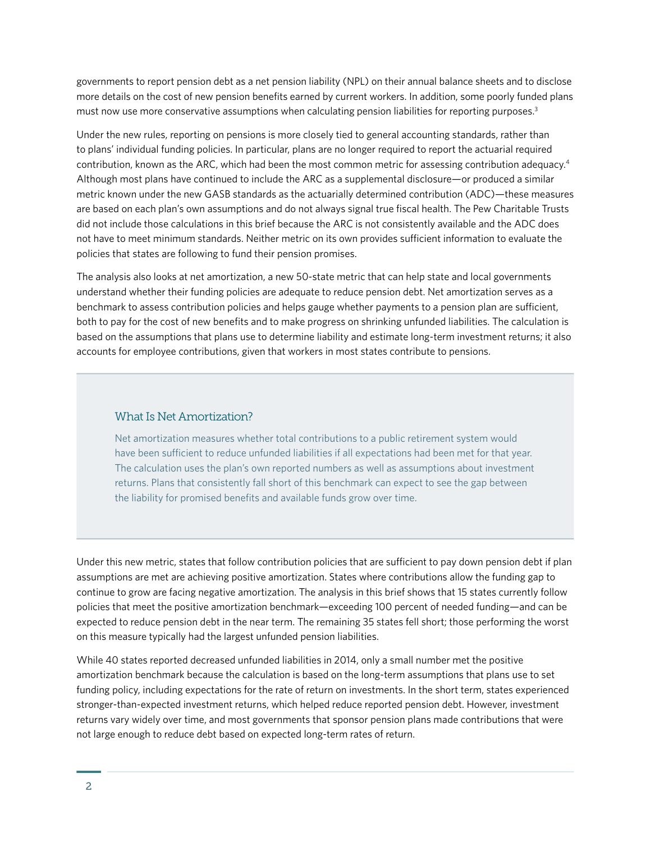governments to report pension debt as a net pension liability (NPL) on their annual balance sheets and to disclose more details on the cost of new pension benefits earned by current workers. In addition, some poorly funded plans must now use more conservative assumptions when calculating pension liabilities for reporting purposes.<sup>3</sup>

Under the new rules, reporting on pensions is more closely tied to general accounting standards, rather than to plans' individual funding policies. In particular, plans are no longer required to report the actuarial required contribution, known as the ARC, which had been the most common metric for assessing contribution adequacy.4 Although most plans have continued to include the ARC as a supplemental disclosure—or produced a similar metric known under the new GASB standards as the actuarially determined contribution (ADC)—these measures are based on each plan's own assumptions and do not always signal true fiscal health. The Pew Charitable Trusts did not include those calculations in this brief because the ARC is not consistently available and the ADC does not have to meet minimum standards. Neither metric on its own provides sufficient information to evaluate the policies that states are following to fund their pension promises.

The analysis also looks at net amortization, a new 50-state metric that can help state and local governments understand whether their funding policies are adequate to reduce pension debt. Net amortization serves as a benchmark to assess contribution policies and helps gauge whether payments to a pension plan are sufficient, both to pay for the cost of new benefits and to make progress on shrinking unfunded liabilities. The calculation is based on the assumptions that plans use to determine liability and estimate long-term investment returns; it also accounts for employee contributions, given that workers in most states contribute to pensions.

#### What Is Net Amortization?

Net amortization measures whether total contributions to a public retirement system would have been sufficient to reduce unfunded liabilities if all expectations had been met for that year. The calculation uses the plan's own reported numbers as well as assumptions about investment returns. Plans that consistently fall short of this benchmark can expect to see the gap between the liability for promised benefits and available funds grow over time.

Under this new metric, states that follow contribution policies that are sufficient to pay down pension debt if plan assumptions are met are achieving positive amortization. States where contributions allow the funding gap to continue to grow are facing negative amortization. The analysis in this brief shows that 15 states currently follow policies that meet the positive amortization benchmark—exceeding 100 percent of needed funding—and can be expected to reduce pension debt in the near term. The remaining 35 states fell short; those performing the worst on this measure typically had the largest unfunded pension liabilities.

While 40 states reported decreased unfunded liabilities in 2014, only a small number met the positive amortization benchmark because the calculation is based on the long-term assumptions that plans use to set funding policy, including expectations for the rate of return on investments. In the short term, states experienced stronger-than-expected investment returns, which helped reduce reported pension debt. However, investment returns vary widely over time, and most governments that sponsor pension plans made contributions that were not large enough to reduce debt based on expected long-term rates of return.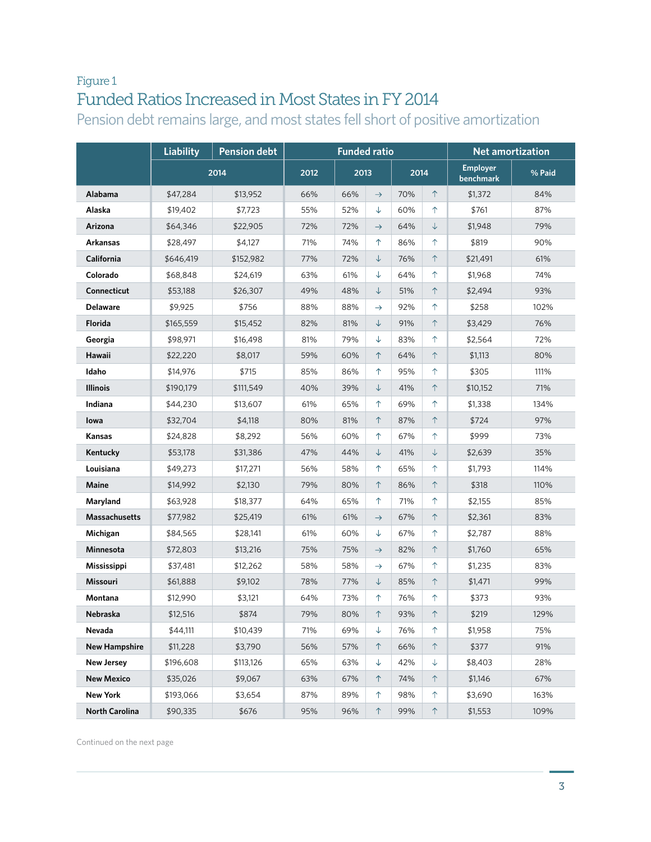### Figure 1 Funded Ratios Increased in Most States in FY 2014

Pension debt remains large, and most states fell short of positive amortization

|                      | <b>Liability</b> | <b>Pension debt</b> |      | <b>Funded ratio</b> |               |      |              |                              | <b>Net amortization</b> |
|----------------------|------------------|---------------------|------|---------------------|---------------|------|--------------|------------------------------|-------------------------|
|                      |                  | 2014                | 2012 | 2013                |               | 2014 |              | <b>Employer</b><br>benchmark | % Paid                  |
| Alabama              | \$47,284         | \$13,952            | 66%  | 66%                 | $\rightarrow$ | 70%  | $\uparrow$   | \$1,372                      | 84%                     |
| Alaska               | \$19,402         | \$7,723             | 55%  | 52%                 | $\downarrow$  | 60%  | ↑            | \$761                        | 87%                     |
| Arizona              | \$64,346         | \$22,905            | 72%  | 72%                 | $\rightarrow$ | 64%  | ↓            | \$1,948                      | 79%                     |
| Arkansas             | \$28,497         | \$4,127             | 71%  | 74%                 | 个             | 86%  | ↑            | \$819                        | 90%                     |
| California           | \$646,419        | \$152,982           | 77%  | 72%                 | $\downarrow$  | 76%  | ↑            | \$21,491                     | 61%                     |
| Colorado             | \$68,848         | \$24,619            | 63%  | 61%                 | $\downarrow$  | 64%  | ↑            | \$1,968                      | 74%                     |
| Connecticut          | \$53,188         | \$26,307            | 49%  | 48%                 | $\downarrow$  | 51%  | ↑            | \$2,494                      | 93%                     |
| <b>Delaware</b>      | \$9,925          | \$756               | 88%  | 88%                 | $\rightarrow$ | 92%  | ↑            | \$258                        | 102%                    |
| Florida              | \$165,559        | \$15,452            | 82%  | 81%                 | $\downarrow$  | 91%  | ↑            | \$3,429                      | 76%                     |
| Georgia              | \$98,971         | \$16,498            | 81%  | 79%                 | $\downarrow$  | 83%  | ↑            | \$2,564                      | 72%                     |
| Hawaii               | \$22,220         | \$8,017             | 59%  | 60%                 | 个             | 64%  | 个            | \$1,113                      | 80%                     |
| Idaho                | \$14,976         | \$715               | 85%  | 86%                 | $\uparrow$    | 95%  | ↑            | \$305                        | 111%                    |
| <b>Illinois</b>      | \$190,179        | \$111,549           | 40%  | 39%                 | $\downarrow$  | 41%  | 个            | \$10,152                     | 71%                     |
| Indiana              | \$44,230         | \$13,607            | 61%  | 65%                 | $\uparrow$    | 69%  | $\uparrow$   | \$1,338                      | 134%                    |
| lowa                 | \$32,704         | \$4,118             | 80%  | 81%                 | 个             | 87%  | $\uparrow$   | \$724                        | 97%                     |
| Kansas               | \$24,828         | \$8,292             | 56%  | 60%                 | $\uparrow$    | 67%  | ↑            | \$999                        | 73%                     |
| Kentucky             | \$53,178         | \$31,386            | 47%  | 44%                 | $\downarrow$  | 41%  | $\downarrow$ | \$2,639                      | 35%                     |
| Louisiana            | \$49,273         | \$17,271            | 56%  | 58%                 | $\uparrow$    | 65%  | ↑            | \$1,793                      | 114%                    |
| Maine                | \$14,992         | \$2,130             | 79%  | 80%                 | $\uparrow$    | 86%  | $\uparrow$   | \$318                        | 110%                    |
| Maryland             | \$63,928         | \$18,377            | 64%  | 65%                 | $\uparrow$    | 71%  | ↑            | \$2,155                      | 85%                     |
| <b>Massachusetts</b> | \$77,982         | \$25,419            | 61%  | 61%                 | $\rightarrow$ | 67%  | $\uparrow$   | \$2,361                      | 83%                     |
| Michigan             | \$84,565         | \$28,141            | 61%  | 60%                 | ↓             | 67%  | ↑            | \$2,787                      | 88%                     |
| Minnesota            | \$72,803         | \$13,216            | 75%  | 75%                 | $\rightarrow$ | 82%  | $\uparrow$   | \$1,760                      | 65%                     |
| <b>Mississippi</b>   | \$37,481         | \$12,262            | 58%  | 58%                 | $\rightarrow$ | 67%  | ↑            | \$1,235                      | 83%                     |
| Missouri             | \$61,888         | \$9,102             | 78%  | 77%                 | ↓             | 85%  | $\uparrow$   | \$1,471                      | 99%                     |
| Montana              | \$12,990         | \$3,121             | 64%  | 73%                 | 个             | 76%  | ↑            | \$373                        | 93%                     |
| Nebraska             | \$12,516         | \$874               | 79%  | 80%                 | $\uparrow$    | 93%  | $\uparrow$   | \$219                        | 129%                    |
| Nevada               | \$44,111         | \$10,439            | 71%  | 69%                 | ↓             | 76%  | ↑            | \$1,958                      | 75%                     |
| <b>New Hampshire</b> | \$11,228         | \$3,790             | 56%  | 57%                 | 个             | 66%  | ↑            | \$377                        | 91%                     |
| <b>New Jersey</b>    | \$196,608        | \$113,126           | 65%  | 63%                 | $\downarrow$  | 42%  | ↓            | \$8,403                      | 28%                     |
| <b>New Mexico</b>    | \$35,026         | \$9,067             | 63%  | 67%                 | 个             | 74%  | 个            | \$1,146                      | 67%                     |
| <b>New York</b>      | \$193,066        | \$3,654             | 87%  | 89%                 | ↑             | 98%  | $\uparrow$   | \$3,690                      | 163%                    |
| North Carolina       | \$90,335         | \$676               | 95%  | 96%                 | $\uparrow$    | 99%  | $\uparrow$   | \$1,553                      | 109%                    |

Continued on the next page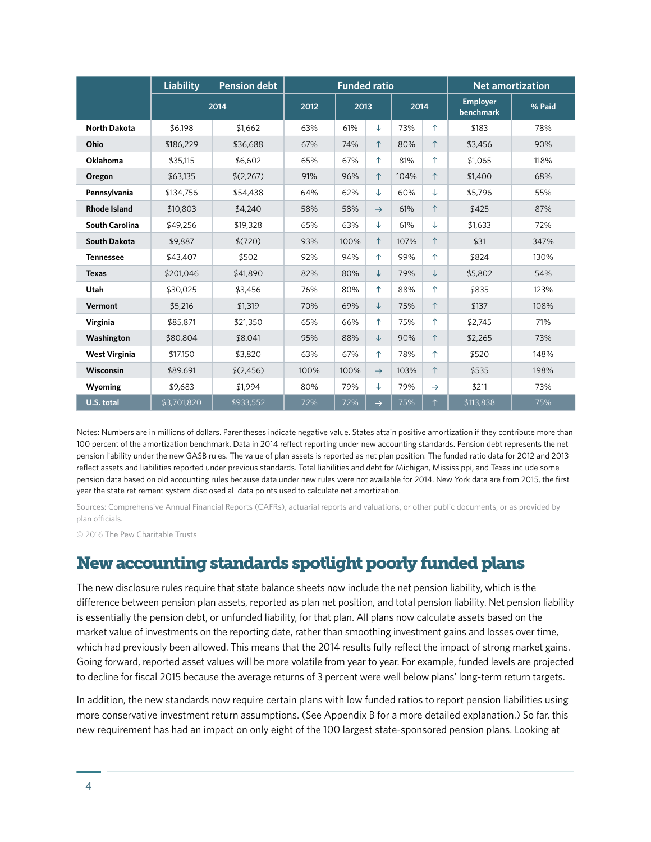|                       | <b>Liability</b> | <b>Pension debt</b> |      | <b>Funded ratio</b> |               |      |               |                                     | <b>Net amortization</b> |
|-----------------------|------------------|---------------------|------|---------------------|---------------|------|---------------|-------------------------------------|-------------------------|
|                       |                  | 2014                | 2012 | 2013                |               | 2014 |               | <b>Employer</b><br><b>benchmark</b> | % Paid                  |
| <b>North Dakota</b>   | \$6.198          | \$1.662             | 63%  | 61%                 | ↓             | 73%  | ↑             | \$183                               | 78%                     |
| Ohio                  | \$186,229        | \$36,688            | 67%  | 74%                 | $\uparrow$    | 80%  | $\uparrow$    | \$3,456                             | 90%                     |
| Oklahoma              | \$35,115         | \$6,602             | 65%  | 67%                 | ↑             | 81%  | 个             | \$1,065                             | 118%                    |
| Oregon                | \$63,135         | \$(2,267)           | 91%  | 96%                 | 个             | 104% | 个             | \$1,400                             | 68%                     |
| Pennsylvania          | \$134,756        | \$54,438            | 64%  | 62%                 | ↓             | 60%  | ↓             | \$5,796                             | 55%                     |
| <b>Rhode Island</b>   | \$10,803         | \$4,240             | 58%  | 58%                 | $\rightarrow$ | 61%  | ↑             | \$425                               | 87%                     |
| <b>South Carolina</b> | \$49,256         | \$19,328            | 65%  | 63%                 | ↓             | 61%  | ↓             | \$1,633                             | 72%                     |
| South Dakota          | \$9,887          | \$(720)             | 93%  | 100%                | $\uparrow$    | 107% | $\uparrow$    | \$31                                | 347%                    |
| <b>Tennessee</b>      | \$43,407         | \$502               | 92%  | 94%                 | $\uparrow$    | 99%  | ↑             | \$824                               | 130%                    |
| <b>Texas</b>          | \$201,046        | \$41,890            | 82%  | 80%                 | $\downarrow$  | 79%  | $\downarrow$  | \$5,802                             | 54%                     |
| Utah                  | \$30.025         | \$3.456             | 76%  | 80%                 | 个             | 88%  | ↑             | \$835                               | 123%                    |
| Vermont               | \$5,216          | \$1,319             | 70%  | 69%                 | $\downarrow$  | 75%  | 个             | \$137                               | 108%                    |
| Virginia              | \$85,871         | \$21,350            | 65%  | 66%                 | ↑             | 75%  | ↑             | \$2,745                             | 71%                     |
| Washington            | \$80.804         | \$8,041             | 95%  | 88%                 | ↓             | 90%  | 个             | \$2,265                             | 73%                     |
| <b>West Virginia</b>  | \$17,150         | \$3,820             | 63%  | 67%                 | 个             | 78%  | ↑             | \$520                               | 148%                    |
| Wisconsin             | \$89,691         | \$(2,456)           | 100% | 100%                | $\rightarrow$ | 103% | ↑             | \$535                               | 198%                    |
| Wyoming               | \$9,683          | \$1,994             | 80%  | 79%                 | ↓             | 79%  | $\rightarrow$ | \$211                               | 73%                     |
| U.S. total            | \$3,701,820      | \$933.552           | 72%  | 72%                 | $\rightarrow$ | 75%  | 个             | \$113,838                           | 75%                     |

Notes: Numbers are in millions of dollars. Parentheses indicate negative value. States attain positive amortization if they contribute more than 100 percent of the amortization benchmark. Data in 2014 reflect reporting under new accounting standards. Pension debt represents the net pension liability under the new GASB rules. The value of plan assets is reported as net plan position. The funded ratio data for 2012 and 2013 reflect assets and liabilities reported under previous standards. Total liabilities and debt for Michigan, Mississippi, and Texas include some pension data based on old accounting rules because data under new rules were not available for 2014. New York data are from 2015, the first year the state retirement system disclosed all data points used to calculate net amortization.

Sources: Comprehensive Annual Financial Reports (CAFRs), actuarial reports and valuations, or other public documents, or as provided by plan officials.

© 2016 The Pew Charitable Trusts

#### New accounting standards spotlight poorly funded plans

The new disclosure rules require that state balance sheets now include the net pension liability, which is the difference between pension plan assets, reported as plan net position, and total pension liability. Net pension liability is essentially the pension debt, or unfunded liability, for that plan. All plans now calculate assets based on the market value of investments on the reporting date, rather than smoothing investment gains and losses over time, which had previously been allowed. This means that the 2014 results fully reflect the impact of strong market gains. Going forward, reported asset values will be more volatile from year to year. For example, funded levels are projected to decline for fiscal 2015 because the average returns of 3 percent were well below plans' long-term return targets.

In addition, the new standards now require certain plans with low funded ratios to report pension liabilities using more conservative investment return assumptions. (See Appendix B for a more detailed explanation.) So far, this new requirement has had an impact on only eight of the 100 largest state-sponsored pension plans. Looking at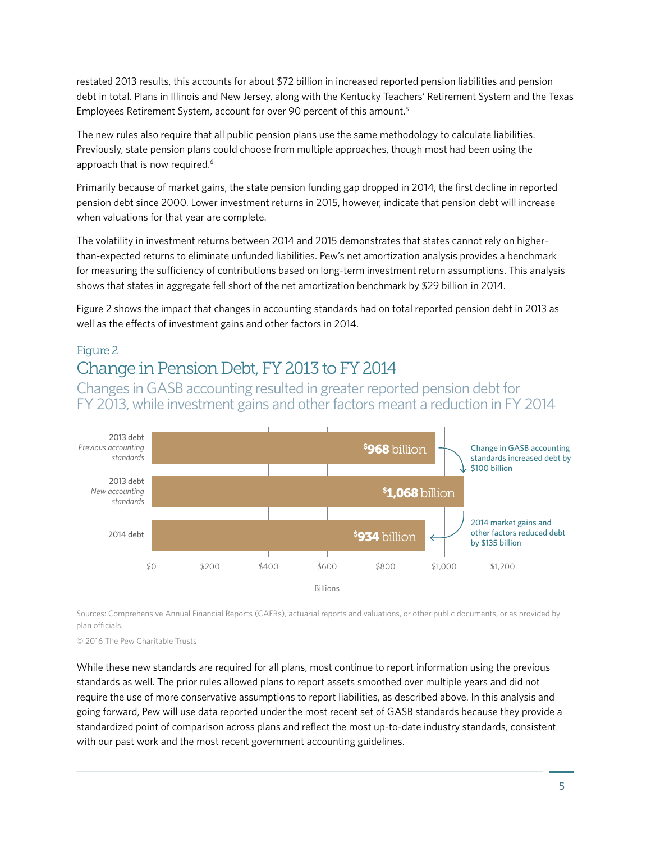restated 2013 results, this accounts for about \$72 billion in increased reported pension liabilities and pension debt in total. Plans in Illinois and New Jersey, along with the Kentucky Teachers' Retirement System and the Texas Employees Retirement System, account for over 90 percent of this amount.5

The new rules also require that all public pension plans use the same methodology to calculate liabilities. Previously, state pension plans could choose from multiple approaches, though most had been using the approach that is now required.<sup>6</sup>

Primarily because of market gains, the state pension funding gap dropped in 2014, the first decline in reported pension debt since 2000. Lower investment returns in 2015, however, indicate that pension debt will increase when valuations for that year are complete.

The volatility in investment returns between 2014 and 2015 demonstrates that states cannot rely on higherthan-expected returns to eliminate unfunded liabilities. Pew's net amortization analysis provides a benchmark for measuring the sufficiency of contributions based on long-term investment return assumptions. This analysis shows that states in aggregate fell short of the net amortization benchmark by \$29 billion in 2014.

Figure 2 shows the impact that changes in accounting standards had on total reported pension debt in 2013 as well as the effects of investment gains and other factors in 2014.

#### Figure 2

### Change in Pension Debt, FY 2013 to FY 2014

Changes in GASB accounting resulted in greater reported pension debt for FY 2013, while investment gains and other factors meant a reduction in FY 2014



Sources: Comprehensive Annual Financial Reports (CAFRs), actuarial reports and valuations, or other public documents, or as provided by plan officials.

© 2016 The Pew Charitable Trusts

While these new standards are required for all plans, most continue to report information using the previous standards as well. The prior rules allowed plans to report assets smoothed over multiple years and did not require the use of more conservative assumptions to report liabilities, as described above. In this analysis and going forward, Pew will use data reported under the most recent set of GASB standards because they provide a standardized point of comparison across plans and reflect the most up-to-date industry standards, consistent with our past work and the most recent government accounting guidelines.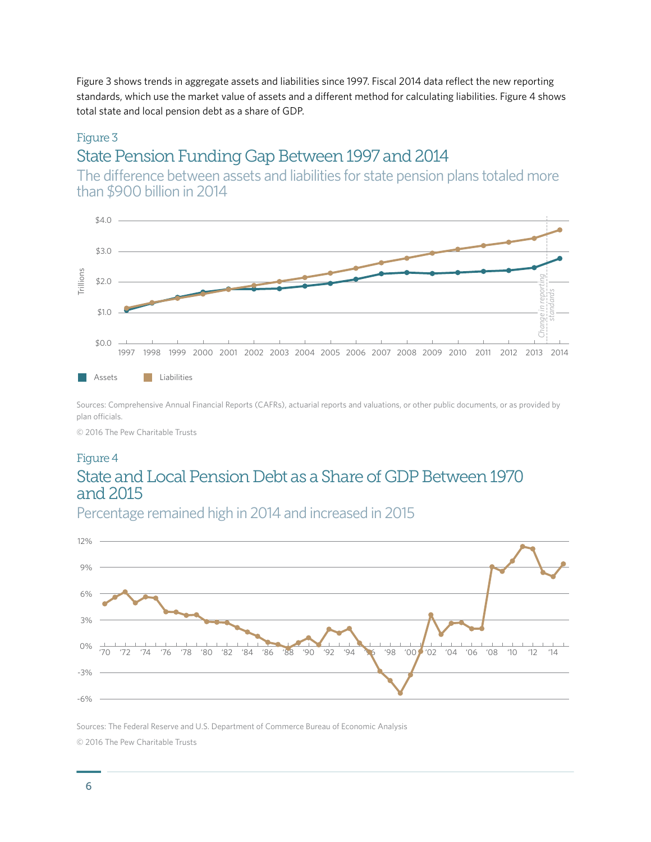Figure 3 shows trends in aggregate assets and liabilities since 1997. Fiscal 2014 data reflect the new reporting standards, which use the market value of assets and a different method for calculating liabilities. Figure 4 shows total state and local pension debt as a share of GDP.

#### Figure 3 State Pension Funding Gap Between 1997 and 2014

The difference between assets and liabilities for state pension plans totaled more than \$900 billion in 2014



Sources: Comprehensive Annual Financial Reports (CAFRs), actuarial reports and valuations, or other public documents, or as provided by plan officials.

© 2016 The Pew Charitable Trusts

#### Figure 4 State and Local Pension Debt as a Share of GDP Between 1970 and 2015



Sources: The Federal Reserve and U.S. Department of Commerce Bureau of Economic Analysis © 2016 The Pew Charitable Trusts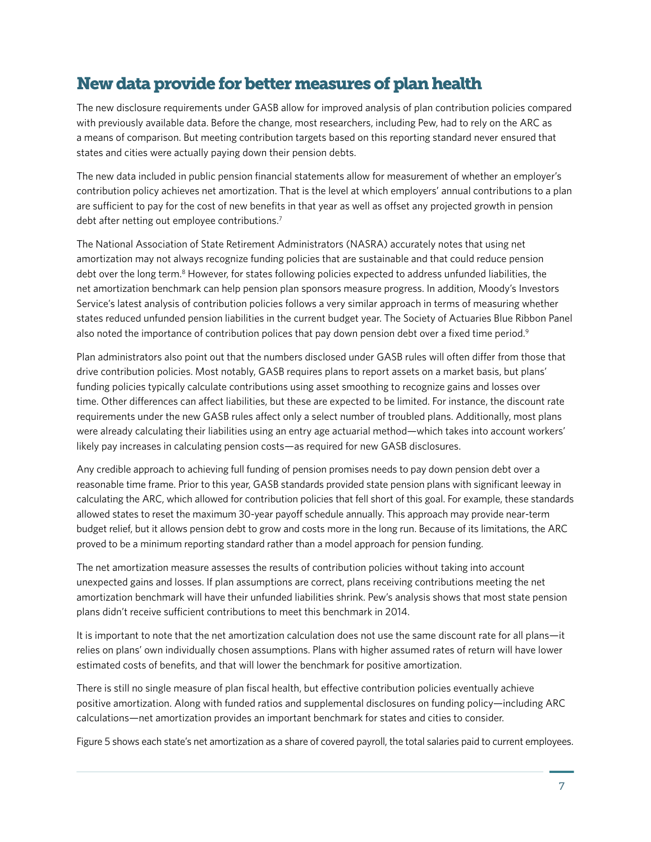### New data provide for better measures of plan health

The new disclosure requirements under GASB allow for improved analysis of plan contribution policies compared with previously available data. Before the change, most researchers, including Pew, had to rely on the ARC as a means of comparison. But meeting contribution targets based on this reporting standard never ensured that states and cities were actually paying down their pension debts.

The new data included in public pension financial statements allow for measurement of whether an employer's contribution policy achieves net amortization. That is the level at which employers' annual contributions to a plan are sufficient to pay for the cost of new benefits in that year as well as offset any projected growth in pension debt after netting out employee contributions.<sup>7</sup>

The National Association of State Retirement Administrators (NASRA) accurately notes that using net amortization may not always recognize funding policies that are sustainable and that could reduce pension debt over the long term.<sup>8</sup> However, for states following policies expected to address unfunded liabilities, the net amortization benchmark can help pension plan sponsors measure progress. In addition, Moody's Investors Service's latest analysis of contribution policies follows a very similar approach in terms of measuring whether states reduced unfunded pension liabilities in the current budget year. The Society of Actuaries Blue Ribbon Panel also noted the importance of contribution polices that pay down pension debt over a fixed time period.<sup>9</sup>

Plan administrators also point out that the numbers disclosed under GASB rules will often differ from those that drive contribution policies. Most notably, GASB requires plans to report assets on a market basis, but plans' funding policies typically calculate contributions using asset smoothing to recognize gains and losses over time. Other differences can affect liabilities, but these are expected to be limited. For instance, the discount rate requirements under the new GASB rules affect only a select number of troubled plans. Additionally, most plans were already calculating their liabilities using an entry age actuarial method—which takes into account workers' likely pay increases in calculating pension costs—as required for new GASB disclosures.

Any credible approach to achieving full funding of pension promises needs to pay down pension debt over a reasonable time frame. Prior to this year, GASB standards provided state pension plans with significant leeway in calculating the ARC, which allowed for contribution policies that fell short of this goal. For example, these standards allowed states to reset the maximum 30-year payoff schedule annually. This approach may provide near-term budget relief, but it allows pension debt to grow and costs more in the long run. Because of its limitations, the ARC proved to be a minimum reporting standard rather than a model approach for pension funding.

The net amortization measure assesses the results of contribution policies without taking into account unexpected gains and losses. If plan assumptions are correct, plans receiving contributions meeting the net amortization benchmark will have their unfunded liabilities shrink. Pew's analysis shows that most state pension plans didn't receive sufficient contributions to meet this benchmark in 2014.

It is important to note that the net amortization calculation does not use the same discount rate for all plans—it relies on plans' own individually chosen assumptions. Plans with higher assumed rates of return will have lower estimated costs of benefits, and that will lower the benchmark for positive amortization.

There is still no single measure of plan fiscal health, but effective contribution policies eventually achieve positive amortization. Along with funded ratios and supplemental disclosures on funding policy—including ARC calculations—net amortization provides an important benchmark for states and cities to consider.

Figure 5 shows each state's net amortization as a share of covered payroll, the total salaries paid to current employees.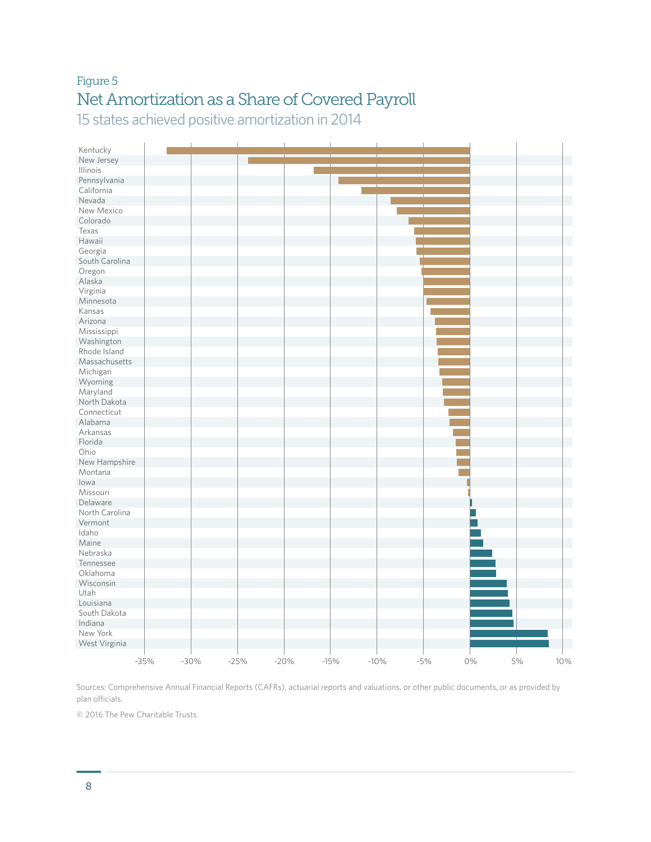### Figure 5 Net Amortization as a Share of Covered Payroll 15 states achieved positive amortization in 2014

| Kentucky       |        |        |        |        |        |        |       |    |    |     |
|----------------|--------|--------|--------|--------|--------|--------|-------|----|----|-----|
| New Jersey     |        |        |        |        |        |        |       |    |    |     |
| Illinois       |        |        |        |        |        |        |       |    |    |     |
| Pennsylvania   |        |        |        |        |        |        |       |    |    |     |
| California     |        |        |        |        |        |        |       |    |    |     |
| Nevada         |        |        |        |        |        |        |       |    |    |     |
| New Mexico     |        |        |        |        |        |        |       |    |    |     |
| Colorado       |        |        |        |        |        |        |       |    |    |     |
| Texas          |        |        |        |        |        |        |       |    |    |     |
| Hawaii         |        |        |        |        |        |        |       |    |    |     |
| Georgia        |        |        |        |        |        |        |       |    |    |     |
| South Carolina |        |        |        |        |        |        |       |    |    |     |
| Oregon         |        |        |        |        |        |        |       |    |    |     |
| Alaska         |        |        |        |        |        |        |       |    |    |     |
| Virginia       |        |        |        |        |        |        |       |    |    |     |
| Minnesota      |        |        |        |        |        |        |       |    |    |     |
| Kansas         |        |        |        |        |        |        |       |    |    |     |
| Arizona        |        |        |        |        |        |        |       |    |    |     |
| Mississippi    |        |        |        |        |        |        |       |    |    |     |
| Washington     |        |        |        |        |        |        |       |    |    |     |
| Rhode Island   |        |        |        |        |        |        |       |    |    |     |
| Massachusetts  |        |        |        |        |        |        |       |    |    |     |
| Michigan       |        |        |        |        |        |        |       |    |    |     |
| Wyoming        |        |        |        |        |        |        |       |    |    |     |
| Maryland       |        |        |        |        |        |        |       |    |    |     |
| North Dakota   |        |        |        |        |        |        |       |    |    |     |
| Connecticut    |        |        |        |        |        |        |       |    |    |     |
| Alabama        |        |        |        |        |        |        |       |    |    |     |
| Arkansas       |        |        |        |        |        |        |       |    |    |     |
| Florida        |        |        |        |        |        |        |       |    |    |     |
| Ohio           |        |        |        |        |        |        |       |    |    |     |
| New Hampshire  |        |        |        |        |        |        |       |    |    |     |
| Montana        |        |        |        |        |        |        |       |    |    |     |
| lowa           |        |        |        |        |        |        |       |    |    |     |
| Missouri       |        |        |        |        |        |        |       |    |    |     |
| Delaware       |        |        |        |        |        |        |       |    |    |     |
| North Carolina |        |        |        |        |        |        |       |    |    |     |
| Vermont        |        |        |        |        |        |        |       |    |    |     |
| Idaho          |        |        |        |        |        |        |       |    |    |     |
| Maine          |        |        |        |        |        |        |       |    |    |     |
| Nebraska       |        |        |        |        |        |        |       |    |    |     |
| Tennessee      |        |        |        |        |        |        |       |    |    |     |
| Oklahoma       |        |        |        |        |        |        |       |    |    |     |
| Wisconsin      |        |        |        |        |        |        |       |    |    |     |
| Utah           |        |        |        |        |        |        |       |    |    |     |
| Louisiana      |        |        |        |        |        |        |       |    |    |     |
| South Dakota   |        |        |        |        |        |        |       |    |    |     |
| Indiana        |        |        |        |        |        |        |       |    |    |     |
| New York       |        |        |        |        |        |        |       |    |    |     |
| West Virginia  |        |        |        |        |        |        |       |    |    |     |
|                |        |        |        |        |        |        |       |    |    |     |
|                | $-35%$ | $-30%$ | $-25%$ | $-20%$ | $-15%$ | $-10%$ | $-5%$ | 0% | 5% | 10% |

Sources: Comprehensive Annual Financial Reports (CAFRs), actuarial reports and valuations, or other public documents, or as provided by plan officials.

© 2016 The Pew Charitable Trusts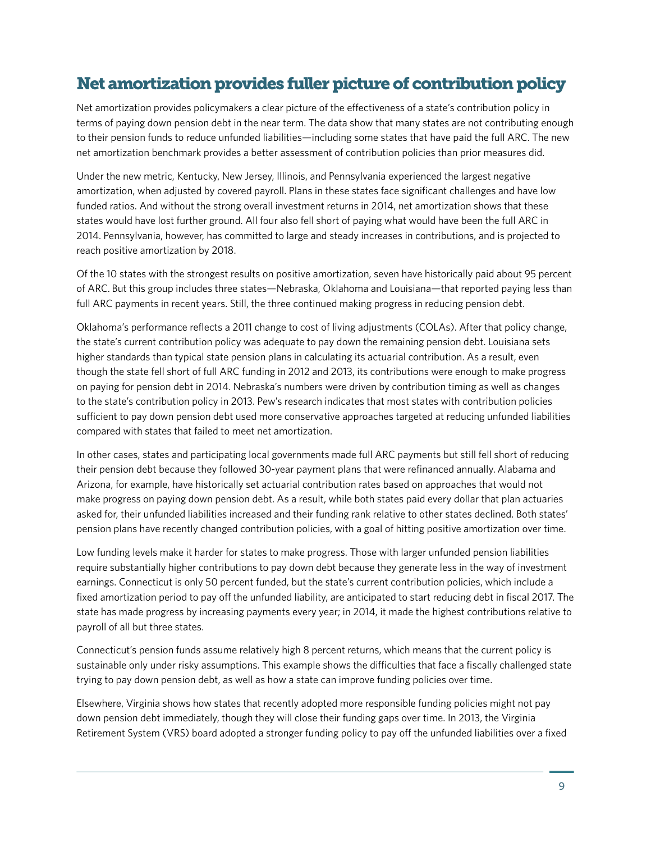### Net amortization provides fuller picture of contribution policy

Net amortization provides policymakers a clear picture of the effectiveness of a state's contribution policy in terms of paying down pension debt in the near term. The data show that many states are not contributing enough to their pension funds to reduce unfunded liabilities—including some states that have paid the full ARC. The new net amortization benchmark provides a better assessment of contribution policies than prior measures did.

Under the new metric, Kentucky, New Jersey, Illinois, and Pennsylvania experienced the largest negative amortization, when adjusted by covered payroll. Plans in these states face significant challenges and have low funded ratios. And without the strong overall investment returns in 2014, net amortization shows that these states would have lost further ground. All four also fell short of paying what would have been the full ARC in 2014. Pennsylvania, however, has committed to large and steady increases in contributions, and is projected to reach positive amortization by 2018.

Of the 10 states with the strongest results on positive amortization, seven have historically paid about 95 percent of ARC. But this group includes three states—Nebraska, Oklahoma and Louisiana—that reported paying less than full ARC payments in recent years. Still, the three continued making progress in reducing pension debt.

Oklahoma's performance reflects a 2011 change to cost of living adjustments (COLAs). After that policy change, the state's current contribution policy was adequate to pay down the remaining pension debt. Louisiana sets higher standards than typical state pension plans in calculating its actuarial contribution. As a result, even though the state fell short of full ARC funding in 2012 and 2013, its contributions were enough to make progress on paying for pension debt in 2014. Nebraska's numbers were driven by contribution timing as well as changes to the state's contribution policy in 2013. Pew's research indicates that most states with contribution policies sufficient to pay down pension debt used more conservative approaches targeted at reducing unfunded liabilities compared with states that failed to meet net amortization.

In other cases, states and participating local governments made full ARC payments but still fell short of reducing their pension debt because they followed 30-year payment plans that were refinanced annually. Alabama and Arizona, for example, have historically set actuarial contribution rates based on approaches that would not make progress on paying down pension debt. As a result, while both states paid every dollar that plan actuaries asked for, their unfunded liabilities increased and their funding rank relative to other states declined. Both states' pension plans have recently changed contribution policies, with a goal of hitting positive amortization over time.

Low funding levels make it harder for states to make progress. Those with larger unfunded pension liabilities require substantially higher contributions to pay down debt because they generate less in the way of investment earnings. Connecticut is only 50 percent funded, but the state's current contribution policies, which include a fixed amortization period to pay off the unfunded liability, are anticipated to start reducing debt in fiscal 2017. The state has made progress by increasing payments every year; in 2014, it made the highest contributions relative to payroll of all but three states.

Connecticut's pension funds assume relatively high 8 percent returns, which means that the current policy is sustainable only under risky assumptions. This example shows the difficulties that face a fiscally challenged state trying to pay down pension debt, as well as how a state can improve funding policies over time.

Elsewhere, Virginia shows how states that recently adopted more responsible funding policies might not pay down pension debt immediately, though they will close their funding gaps over time. In 2013, the Virginia Retirement System (VRS) board adopted a stronger funding policy to pay off the unfunded liabilities over a fixed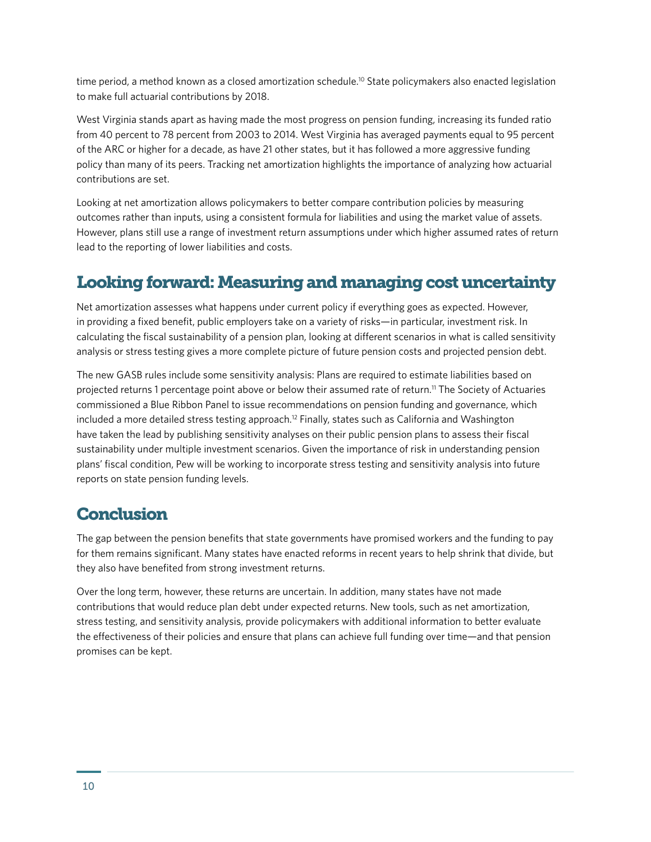time period, a method known as a closed amortization schedule.<sup>10</sup> State policymakers also enacted legislation to make full actuarial contributions by 2018.

West Virginia stands apart as having made the most progress on pension funding, increasing its funded ratio from 40 percent to 78 percent from 2003 to 2014. West Virginia has averaged payments equal to 95 percent of the ARC or higher for a decade, as have 21 other states, but it has followed a more aggressive funding policy than many of its peers. Tracking net amortization highlights the importance of analyzing how actuarial contributions are set.

Looking at net amortization allows policymakers to better compare contribution policies by measuring outcomes rather than inputs, using a consistent formula for liabilities and using the market value of assets. However, plans still use a range of investment return assumptions under which higher assumed rates of return lead to the reporting of lower liabilities and costs.

### Looking forward: Measuring and managing cost uncertainty

Net amortization assesses what happens under current policy if everything goes as expected. However, in providing a fixed benefit, public employers take on a variety of risks—in particular, investment risk. In calculating the fiscal sustainability of a pension plan, looking at different scenarios in what is called sensitivity analysis or stress testing gives a more complete picture of future pension costs and projected pension debt.

The new GASB rules include some sensitivity analysis: Plans are required to estimate liabilities based on projected returns 1 percentage point above or below their assumed rate of return.11 The Society of Actuaries commissioned a Blue Ribbon Panel to issue recommendations on pension funding and governance, which included a more detailed stress testing approach.<sup>12</sup> Finally, states such as California and Washington have taken the lead by publishing sensitivity analyses on their public pension plans to assess their fiscal sustainability under multiple investment scenarios. Given the importance of risk in understanding pension plans' fiscal condition, Pew will be working to incorporate stress testing and sensitivity analysis into future reports on state pension funding levels.

### **Conclusion**

The gap between the pension benefits that state governments have promised workers and the funding to pay for them remains significant. Many states have enacted reforms in recent years to help shrink that divide, but they also have benefited from strong investment returns.

Over the long term, however, these returns are uncertain. In addition, many states have not made contributions that would reduce plan debt under expected returns. New tools, such as net amortization, stress testing, and sensitivity analysis, provide policymakers with additional information to better evaluate the effectiveness of their policies and ensure that plans can achieve full funding over time—and that pension promises can be kept.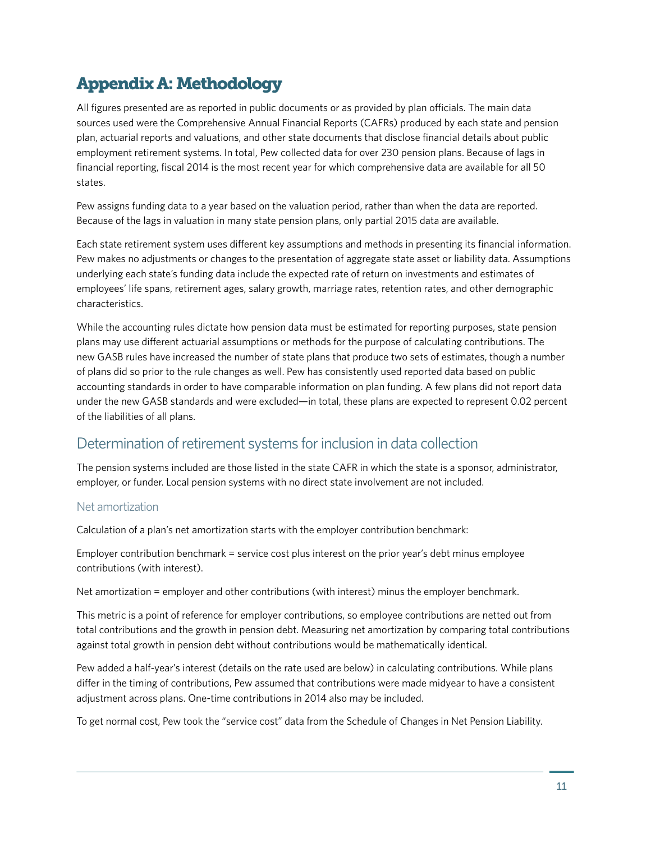# Appendix A: Methodology

All figures presented are as reported in public documents or as provided by plan officials. The main data sources used were the Comprehensive Annual Financial Reports (CAFRs) produced by each state and pension plan, actuarial reports and valuations, and other state documents that disclose financial details about public employment retirement systems. In total, Pew collected data for over 230 pension plans. Because of lags in financial reporting, fiscal 2014 is the most recent year for which comprehensive data are available for all 50 states.

Pew assigns funding data to a year based on the valuation period, rather than when the data are reported. Because of the lags in valuation in many state pension plans, only partial 2015 data are available.

Each state retirement system uses different key assumptions and methods in presenting its financial information. Pew makes no adjustments or changes to the presentation of aggregate state asset or liability data. Assumptions underlying each state's funding data include the expected rate of return on investments and estimates of employees' life spans, retirement ages, salary growth, marriage rates, retention rates, and other demographic characteristics.

While the accounting rules dictate how pension data must be estimated for reporting purposes, state pension plans may use different actuarial assumptions or methods for the purpose of calculating contributions. The new GASB rules have increased the number of state plans that produce two sets of estimates, though a number of plans did so prior to the rule changes as well. Pew has consistently used reported data based on public accounting standards in order to have comparable information on plan funding. A few plans did not report data under the new GASB standards and were excluded—in total, these plans are expected to represent 0.02 percent of the liabilities of all plans.

#### Determination of retirement systems for inclusion in data collection

The pension systems included are those listed in the state CAFR in which the state is a sponsor, administrator, employer, or funder. Local pension systems with no direct state involvement are not included.

#### Net amortization

Calculation of a plan's net amortization starts with the employer contribution benchmark:

Employer contribution benchmark = service cost plus interest on the prior year's debt minus employee contributions (with interest).

Net amortization = employer and other contributions (with interest) minus the employer benchmark.

This metric is a point of reference for employer contributions, so employee contributions are netted out from total contributions and the growth in pension debt. Measuring net amortization by comparing total contributions against total growth in pension debt without contributions would be mathematically identical.

Pew added a half-year's interest (details on the rate used are below) in calculating contributions. While plans differ in the timing of contributions, Pew assumed that contributions were made midyear to have a consistent adjustment across plans. One-time contributions in 2014 also may be included.

To get normal cost, Pew took the "service cost" data from the Schedule of Changes in Net Pension Liability.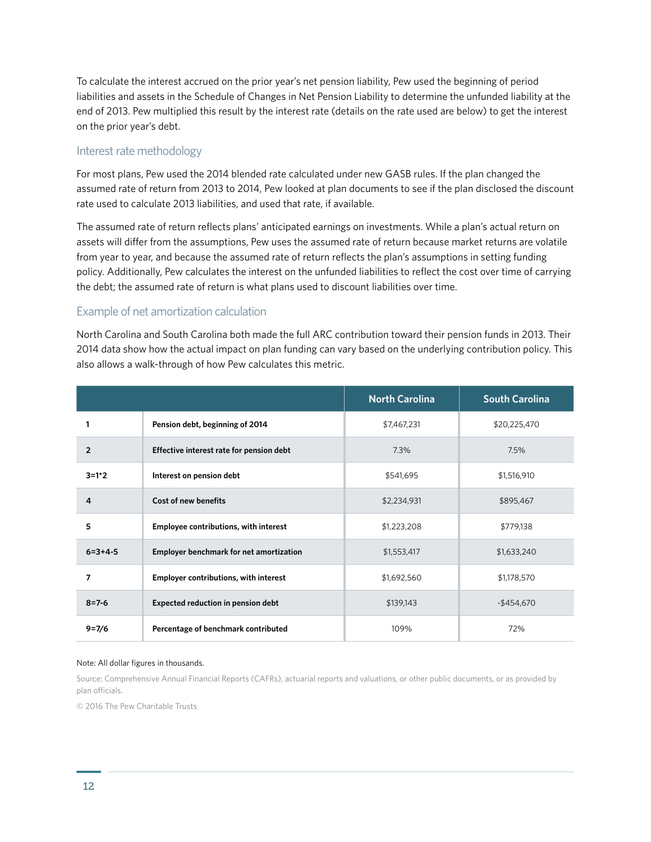To calculate the interest accrued on the prior year's net pension liability, Pew used the beginning of period liabilities and assets in the Schedule of Changes in Net Pension Liability to determine the unfunded liability at the end of 2013. Pew multiplied this result by the interest rate (details on the rate used are below) to get the interest on the prior year's debt.

#### Interest rate methodology

For most plans, Pew used the 2014 blended rate calculated under new GASB rules. If the plan changed the assumed rate of return from 2013 to 2014, Pew looked at plan documents to see if the plan disclosed the discount rate used to calculate 2013 liabilities, and used that rate, if available.

The assumed rate of return reflects plans' anticipated earnings on investments. While a plan's actual return on assets will differ from the assumptions, Pew uses the assumed rate of return because market returns are volatile from year to year, and because the assumed rate of return reflects the plan's assumptions in setting funding policy. Additionally, Pew calculates the interest on the unfunded liabilities to reflect the cost over time of carrying the debt; the assumed rate of return is what plans used to discount liabilities over time.

#### Example of net amortization calculation

North Carolina and South Carolina both made the full ARC contribution toward their pension funds in 2013. Their 2014 data show how the actual impact on plan funding can vary based on the underlying contribution policy. This also allows a walk-through of how Pew calculates this metric.

|                 |                                              | <b>North Carolina</b> | <b>South Carolina</b> |
|-----------------|----------------------------------------------|-----------------------|-----------------------|
|                 | Pension debt, beginning of 2014              | \$7,467,231           | \$20,225,470          |
| $\overline{2}$  | Effective interest rate for pension debt     | 7.3%                  | 7.5%                  |
| $3 = 1*2$       | Interest on pension debt                     | \$541,695             | \$1,516,910           |
| 4               | Cost of new benefits                         | \$2,234,931           | \$895,467             |
| 5               | <b>Employee contributions, with interest</b> | \$1,223,208           | \$779,138             |
| $6 = 3 + 4 - 5$ | Employer benchmark for net amortization      | \$1,553,417           | \$1,633,240           |
| 7               | <b>Employer contributions, with interest</b> | \$1,692,560           | \$1,178,570           |
| $8 = 7 - 6$     | <b>Expected reduction in pension debt</b>    | \$139,143             | $-$454,670$           |
| $9 = 7/6$       | Percentage of benchmark contributed          | 109%                  | 72%                   |

#### Note: All dollar figures in thousands.

Source: Comprehensive Annual Financial Reports (CAFRs), actuarial reports and valuations, or other public documents, or as provided by plan officials.

© 2016 The Pew Charitable Trusts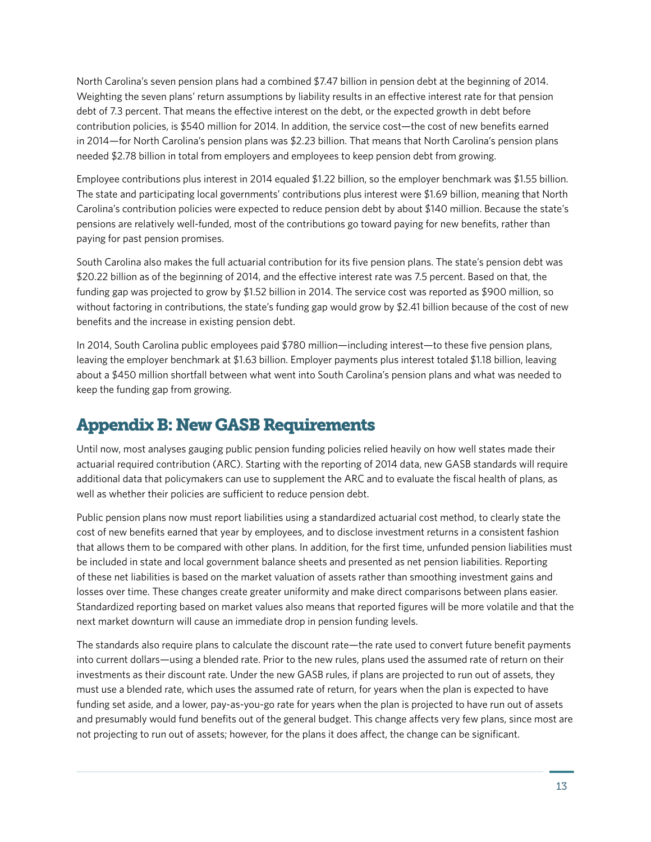North Carolina's seven pension plans had a combined \$7.47 billion in pension debt at the beginning of 2014. Weighting the seven plans' return assumptions by liability results in an effective interest rate for that pension debt of 7.3 percent. That means the effective interest on the debt, or the expected growth in debt before contribution policies, is \$540 million for 2014. In addition, the service cost—the cost of new benefits earned in 2014—for North Carolina's pension plans was \$2.23 billion. That means that North Carolina's pension plans needed \$2.78 billion in total from employers and employees to keep pension debt from growing.

Employee contributions plus interest in 2014 equaled \$1.22 billion, so the employer benchmark was \$1.55 billion. The state and participating local governments' contributions plus interest were \$1.69 billion, meaning that North Carolina's contribution policies were expected to reduce pension debt by about \$140 million. Because the state's pensions are relatively well-funded, most of the contributions go toward paying for new benefits, rather than paying for past pension promises.

South Carolina also makes the full actuarial contribution for its five pension plans. The state's pension debt was \$20.22 billion as of the beginning of 2014, and the effective interest rate was 7.5 percent. Based on that, the funding gap was projected to grow by \$1.52 billion in 2014. The service cost was reported as \$900 million, so without factoring in contributions, the state's funding gap would grow by \$2.41 billion because of the cost of new benefits and the increase in existing pension debt.

In 2014, South Carolina public employees paid \$780 million—including interest—to these five pension plans, leaving the employer benchmark at \$1.63 billion. Employer payments plus interest totaled \$1.18 billion, leaving about a \$450 million shortfall between what went into South Carolina's pension plans and what was needed to keep the funding gap from growing.

## Appendix B: New GASB Requirements

Until now, most analyses gauging public pension funding policies relied heavily on how well states made their actuarial required contribution (ARC). Starting with the reporting of 2014 data, new GASB standards will require additional data that policymakers can use to supplement the ARC and to evaluate the fiscal health of plans, as well as whether their policies are sufficient to reduce pension debt.

Public pension plans now must report liabilities using a standardized actuarial cost method, to clearly state the cost of new benefits earned that year by employees, and to disclose investment returns in a consistent fashion that allows them to be compared with other plans. In addition, for the first time, unfunded pension liabilities must be included in state and local government balance sheets and presented as net pension liabilities. Reporting of these net liabilities is based on the market valuation of assets rather than smoothing investment gains and losses over time. These changes create greater uniformity and make direct comparisons between plans easier. Standardized reporting based on market values also means that reported figures will be more volatile and that the next market downturn will cause an immediate drop in pension funding levels.

The standards also require plans to calculate the discount rate—the rate used to convert future benefit payments into current dollars—using a blended rate. Prior to the new rules, plans used the assumed rate of return on their investments as their discount rate. Under the new GASB rules, if plans are projected to run out of assets, they must use a blended rate, which uses the assumed rate of return, for years when the plan is expected to have funding set aside, and a lower, pay-as-you-go rate for years when the plan is projected to have run out of assets and presumably would fund benefits out of the general budget. This change affects very few plans, since most are not projecting to run out of assets; however, for the plans it does affect, the change can be significant.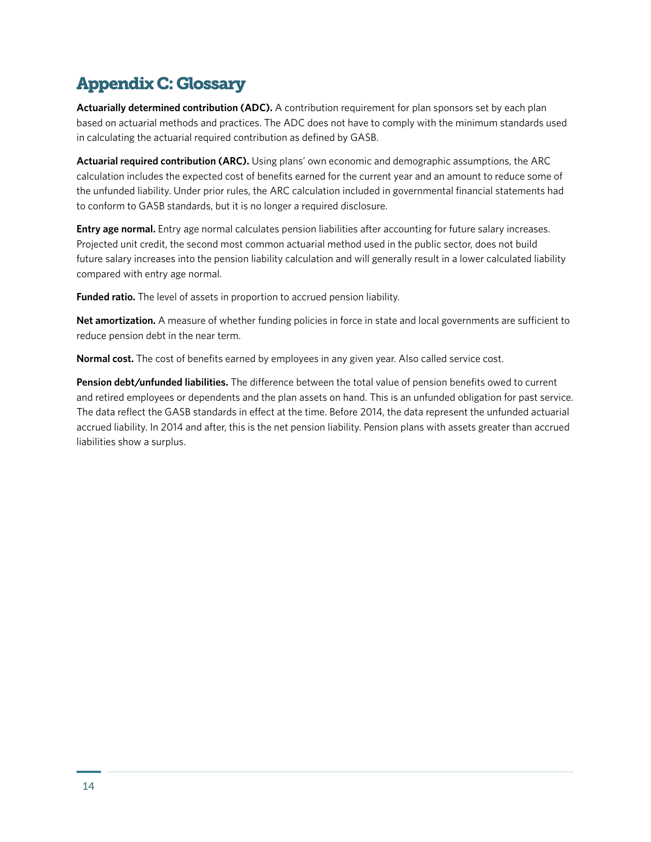# Appendix C: Glossary

**Actuarially determined contribution (ADC).** A contribution requirement for plan sponsors set by each plan based on actuarial methods and practices. The ADC does not have to comply with the minimum standards used in calculating the actuarial required contribution as defined by GASB.

**Actuarial required contribution (ARC).** Using plans' own economic and demographic assumptions, the ARC calculation includes the expected cost of benefits earned for the current year and an amount to reduce some of the unfunded liability. Under prior rules, the ARC calculation included in governmental financial statements had to conform to GASB standards, but it is no longer a required disclosure.

**Entry age normal.** Entry age normal calculates pension liabilities after accounting for future salary increases. Projected unit credit, the second most common actuarial method used in the public sector, does not build future salary increases into the pension liability calculation and will generally result in a lower calculated liability compared with entry age normal.

**Funded ratio.** The level of assets in proportion to accrued pension liability.

**Net amortization.** A measure of whether funding policies in force in state and local governments are sufficient to reduce pension debt in the near term.

**Normal cost.** The cost of benefits earned by employees in any given year. Also called service cost.

**Pension debt/unfunded liabilities.** The difference between the total value of pension benefits owed to current and retired employees or dependents and the plan assets on hand. This is an unfunded obligation for past service. The data reflect the GASB standards in effect at the time. Before 2014, the data represent the unfunded actuarial accrued liability. In 2014 and after, this is the net pension liability. Pension plans with assets greater than accrued liabilities show a surplus.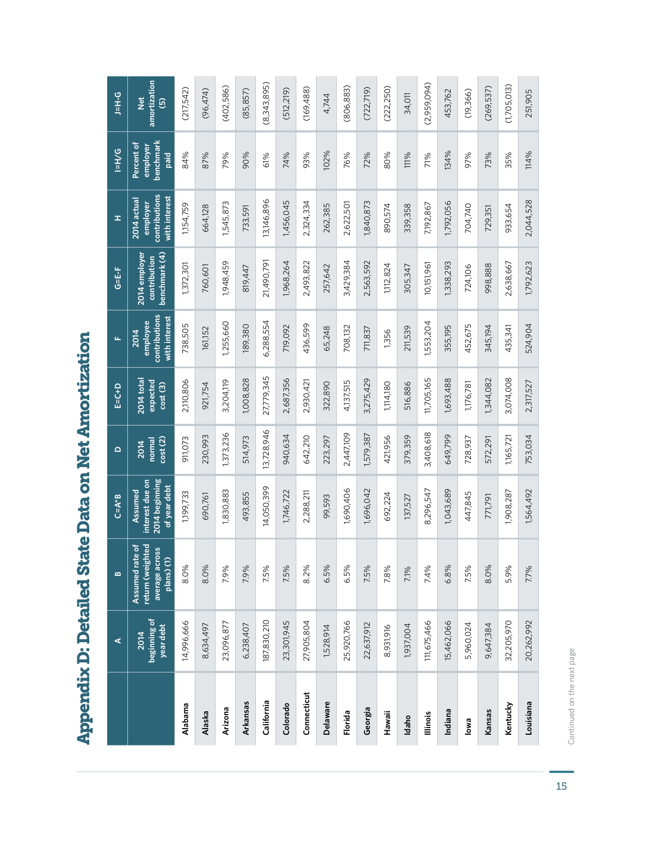|                 | ⋖                                 | $\bf{m}$                                                            | $C = A * B$                                                  | $\mathbf{\Omega}$         | $E = C + D$                       | щ                                                  | G=E-F                                          | x,                                                        | $\frac{5}{1}$                               | <b>D-H-C</b>                                            |
|-----------------|-----------------------------------|---------------------------------------------------------------------|--------------------------------------------------------------|---------------------------|-----------------------------------|----------------------------------------------------|------------------------------------------------|-----------------------------------------------------------|---------------------------------------------|---------------------------------------------------------|
|                 | beginning of<br>year debt<br>2014 | return (weighted<br>৳<br>average across<br>Assumed rate<br>plane(1) | 2014 beginning<br>interest due on<br>of year debt<br>Assumed | cost(2)<br>normal<br>2014 | 2014 total<br>expected<br>cost(3) | contributions<br>with interest<br>employee<br>2014 | benchmark (4)<br>2014 employer<br>contribution | contributions<br>with interest<br>2014 actual<br>employer | benchmark<br>Percent of<br>employer<br>paid | amortization<br>$\frac{1}{2}$<br>$\widehat{\mathbf{e}}$ |
| Alabama         | 14,996,666                        | 8.0%                                                                | 1,199,733                                                    | 911,073                   | 2,110,806                         | 738,505                                            | 1,372,301                                      | 1,154,759                                                 | 84%                                         | (217,542)                                               |
| Alaska          | 8,634,497                         | 8.0%                                                                | 690,761                                                      | 230,993                   | 921,754                           | 161,152                                            | 760,601                                        | 664,128                                                   | 87%                                         | (96, 474)                                               |
| Arizona         | 23,096,877                        | 7.9%                                                                | 1,830,883                                                    | 1,373,236                 | 3,204,119                         | 1,255,660                                          | 1,948,459                                      | 1,545,873                                                 | 79%                                         | (402,586)                                               |
| Arkansas        | 6,238,407                         | 7.9%                                                                | 493,855                                                      | 514,973                   | 1,008,828                         | 189,380                                            | 819,447                                        | 733,591                                                   | 90%                                         | (85, 857)                                               |
| California      | 187,830,210                       | 7.5%                                                                | 14,050,399                                                   | 13,728,946                | 27,779,345                        | 6,288,554                                          | 21,490,791                                     | 13,146,896                                                | 61%                                         | (8,343,895)                                             |
| Colorado        | 23,301,945                        | 7.5%                                                                | 1,746,722                                                    | 940,634                   | 2,687,356                         | 719,092                                            | 1,968,264                                      | 1,456,045                                                 | 74%                                         | (512, 219)                                              |
| Connecticut     | 27,905,804                        | 8.2%                                                                | 2,288,211                                                    | 642,210                   | 2,930,421                         | 436,599                                            | 2,493,822                                      | 2,324,334                                                 | 93%                                         | (169,488)                                               |
| <b>Delaware</b> | 1,528,914                         | 6.5%                                                                | 99,593                                                       | 223,297                   | 322,890                           | 65,248                                             | 257,642                                        | 262,385                                                   | 102%                                        | 4,744                                                   |
| Florida         | 25,920,766                        | 6.5%                                                                | 1,690,406                                                    | 2,447,109                 | 4,137,515                         | 708,132                                            | 3,429,384                                      | 2,622,501                                                 | 76%                                         | (806, 883)                                              |
| Georgia         | 22,637,912                        | 7.5%                                                                | 1,696,042                                                    | 1,579,387                 | 3,275,429                         | 711,837                                            | 2,563,592                                      | 1,840,873                                                 | 72%                                         | (722, 719)                                              |
| Hawaii          | 8,931,916                         | 7.8%                                                                | 692,224                                                      | 421,956                   | 1,114,180                         | 1,356                                              | 1,112,824                                      | 890,574                                                   | 80%                                         | (222, 250)                                              |
| Idaho           | 1,937,004                         | 7.1%                                                                | 137,527                                                      | 379,359                   | 516,886                           | 211,539                                            | 305,347                                        | 339,358                                                   | 111%                                        | 34,011                                                  |
| <b>Illinois</b> | 111,675,466                       | 7.4%                                                                | 8,296,547                                                    | 3,408,618                 | 11,705,165                        | 1,553,204                                          | 10,151,961                                     | 7,192,867                                                 | 71%                                         | (2,959,094)                                             |
| Indiana         | 15,462,066                        | 6.8%                                                                | 1,043,689                                                    | 649,799                   | 1,693,488                         | 355,195                                            | 1,338,293                                      | 1,792,056                                                 | 134%                                        | 453,762                                                 |
| lowa            | 5,960,024                         | 7.5%                                                                | 447,845                                                      | 728,937                   | 1,176,781                         | 452,675                                            | 724,106                                        | 704,740                                                   | 97%                                         | (19,366)                                                |
| Kansas          | 9,647,384                         | 8.0%                                                                | 771,791                                                      | 572,291                   | 1,344,082                         | 345,194                                            | 998,888                                        | 729,351                                                   | 73%                                         | (269, 537)                                              |
| Kentucky        | 32,205,970                        | 5.9%                                                                | 1,908,287                                                    | 1,165,721                 | 3,074,008                         | 435,341                                            | 2,638,667                                      | 933,654                                                   | 35%                                         | (1,705,013)                                             |
| Louisiana       | 20,262,992                        | 7.7%                                                                | 1,564,492                                                    | 753,034                   | 2,317,527                         | 524,904                                            | 1,792,623                                      | 2,044,528                                                 | 114%                                        | 251,905                                                 |

**Appendix D: Detailed State Data on Net Amortization** Appendix D: Detailed State Data on Net Amortization

Continued on the next page Continued on the next page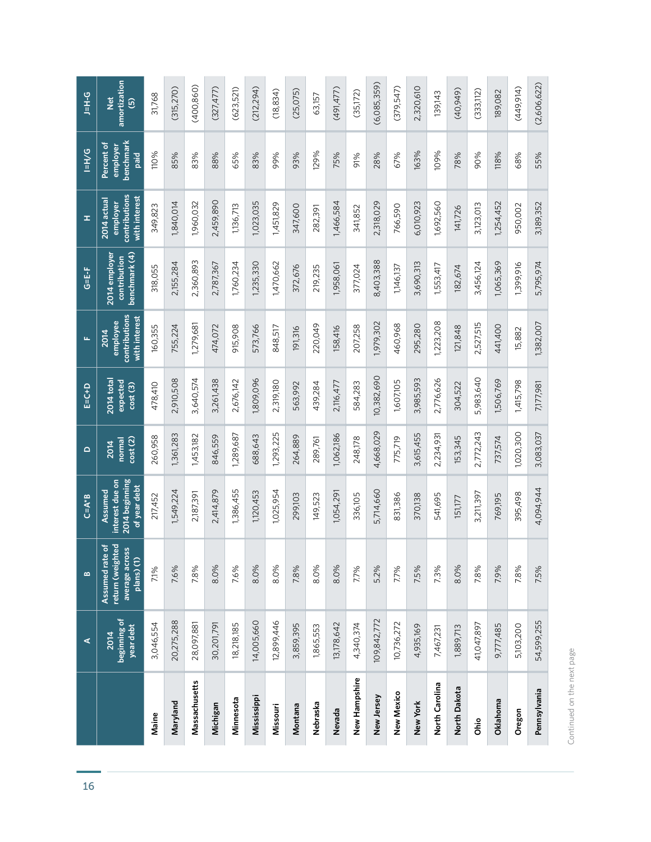|                | ⋖                                 | $\mathbf{a}$                                                                      | $C = A * B$                                                  | $\Omega$                  | $E = C + D$                       | щ                                                         | G=E-F                                          | ᆂ                                                         | $P/H=1$                                     | <b>D-H-C</b>                                              |
|----------------|-----------------------------------|-----------------------------------------------------------------------------------|--------------------------------------------------------------|---------------------------|-----------------------------------|-----------------------------------------------------------|------------------------------------------------|-----------------------------------------------------------|---------------------------------------------|-----------------------------------------------------------|
|                | beginning of<br>year debt<br>2014 | $\frac{1}{2}$<br>return (weighted<br>average across<br>Assumed rate<br>plans) (1) | 2014 beginning<br>interest due on<br>of year debt<br>Assumed | cost(2)<br>normal<br>2014 | 2014 total<br>expected<br>cost(3) | contributions<br>with interest<br>employee<br><b>2014</b> | benchmark (4)<br>2014 employer<br>contribution | contributions<br>with interest<br>2014 actual<br>employer | benchmark<br>Percent of<br>employer<br>paid | amortization<br>$\frac{di}{dx}$<br>$\widehat{\mathbf{e}}$ |
| Maine          | 3,046,554                         | 7.1%                                                                              | 217,452                                                      | 260,958                   | 478,410                           | 160,355                                                   | 318,055                                        | 349,823                                                   | 110%                                        | 31,768                                                    |
| Maryland       | 20,275,288                        | 7.6%                                                                              | 1,549,224                                                    | 1,361,283                 | 2,910,508                         | 755,224                                                   | 2,155,284                                      | 1,840,014                                                 | 85%                                         | (315, 270)                                                |
| Massachusetts  | 28,097,881                        | 7.8%                                                                              | 2,187,391                                                    | 1,453,182                 | 3,640,574                         | 1,279,681                                                 | 2,360,893                                      | 1,960,032                                                 | 83%                                         | (400,860)                                                 |
| Michigan       | 30,201,791                        | 8.0%                                                                              | 2,414,879                                                    | 846,559                   | 3,261,438                         | 474,072                                                   | 2,787,367                                      | 2,459,890                                                 | 88%                                         | (327, 477)                                                |
| Minnesota      | 18,218,185                        | 7.6%                                                                              | 1,386,455                                                    | 1,289,687                 | 2,676,142                         | 915,908                                                   | 1,760,234                                      | 1,136,713                                                 | 65%                                         | (623,521)                                                 |
| Mississippi    | 14,005,660                        | 8.0%                                                                              | 1,120,453                                                    | 688,643                   | 1,809,096                         | 573,766                                                   | 1,235,330                                      | 1,023,035                                                 | 83%                                         | (212, 294)                                                |
| Missouri       | 12,899,446                        | 8.0%                                                                              | 1,025,954                                                    | 1,293,225                 | 2,319,180                         | 848,517                                                   | 1,470,662                                      | 1,451,829                                                 | 99%                                         | (18, 834)                                                 |
| Montana        | 3,859,395                         | 7.8%                                                                              | 299,103                                                      | 264,889                   | 563,992                           | 191,316                                                   | 372,676                                        | 347,600                                                   | 93%                                         | (25, 075)                                                 |
| Nebraska       | 1,865,553                         | 8.0%                                                                              | 149,523                                                      | 289,761                   | 439,284                           | 220,049                                                   | 219,235                                        | 282,391                                                   | 129%                                        | 63,157                                                    |
| Nevada         | 13,178,642                        | 8.0%                                                                              | 1,054,29                                                     | 1,062,186                 | 2,116,477                         | 158,416                                                   | 1,958,061                                      | 1,466,584                                                 | 75%                                         | (491,477)                                                 |
| New Hampshire  | 4,340,374                         | 7.7%                                                                              | 336,105                                                      | 248,178                   | 584,283                           | 207,258                                                   | 377,024                                        | 341,852                                                   | 91%                                         | (35,172)                                                  |
| New Jersey     | 109,842,772                       | 5.2%                                                                              | 5,714,660                                                    | 4,668,029                 | 10,382,690                        | 1,979,302                                                 | 8,403,388                                      | 2,318,029                                                 | 28%                                         | (6,085,359)                                               |
| New Mexico     | 10,736,272                        | 7.7%                                                                              | 831,386                                                      | 775,719                   | 1,607,105                         | 460,968                                                   | 1,146,137                                      | 766,590                                                   | 67%                                         | (379,547)                                                 |
| New York       | 4,935,169                         | 7.5%                                                                              | 370,138                                                      | 3,615,455                 | 3,985,593                         | 295,280                                                   | 3,690,313                                      | 6,010,923                                                 | 163%                                        | 2,320,610                                                 |
| North Carolina | 7,467,231                         | 7.3%                                                                              | 541,695                                                      | 2,234,93                  | 2,776,626                         | 1,223,208                                                 | 1,553,417                                      | 1,692,560                                                 | 109%                                        | 139,143                                                   |
| North Dakota   | 1,889,713                         | 8.0%                                                                              | 151,177                                                      | 153,345                   | 304,522                           | 121,848                                                   | 182,674                                        | 141,726                                                   | 78%                                         | (40,949)                                                  |
| Ohio           | 41,047,897                        | 7.8%                                                                              | 3,211,397                                                    | 2,772,243                 | 5,983,640                         | 2,527,515                                                 | 3,456,124                                      | 3,123,013                                                 | 90%                                         | (333, 112)                                                |
| Oklahoma       | 9,777,485                         | 7.9%                                                                              | 769,195                                                      | 737,574                   | 1,506,769                         | 441,400                                                   | 1,065,369                                      | 1,254,452                                                 | 118%                                        | 189,082                                                   |
| Oregon         | 5,103,200                         | 7.8%                                                                              | 395,498                                                      | 1,020,300                 | 1,415,798                         | 15,882                                                    | 1,399,916                                      | 950,002                                                   | 68%                                         | (449,914)                                                 |
| Pennsylvania   | 54,599,255                        | 7.5%                                                                              | 4,094,944                                                    | 3,083,037                 | 7,177,981                         | 1,382,007                                                 | 5,795,974                                      | 3,189,352                                                 | 55%                                         | (2,606,622)                                               |

Continued on the next page Continued on the next page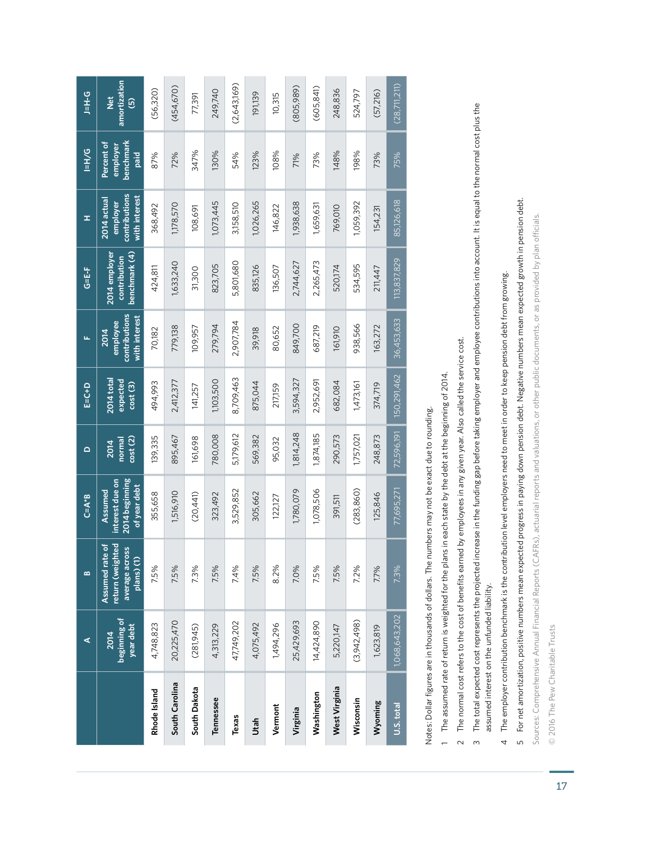|                | ⋖                                 | $\mathbf{a}$                                                        | $C = A * B$                                                  | $\mathbf{\Omega}$         | $E = C + D$                              | щ                                                  | G=E-F                                          | ᆂ                                                         | $P/H=1$                                     | <b>D-H-C</b>                                             |
|----------------|-----------------------------------|---------------------------------------------------------------------|--------------------------------------------------------------|---------------------------|------------------------------------------|----------------------------------------------------|------------------------------------------------|-----------------------------------------------------------|---------------------------------------------|----------------------------------------------------------|
|                | beginning of<br>year debt<br>2014 | return (weighted<br>Assumed rate of<br>average across<br>plans) (1) | 2014 beginning<br>interest due on<br>of year debt<br>Assumed | cost(2)<br>normal<br>2014 | <b>2014</b> total<br>expected<br>cost(3) | contributions<br>with interest<br>employee<br>2014 | benchmark (4)<br>2014 employer<br>contribution | contributions<br>with interest<br>2014 actual<br>employer | benchmark<br>Percent of<br>employer<br>paid | amortization<br>$\frac{di}{d}$<br>$\widehat{\mathbf{e}}$ |
| Rhode Island   | 4,748,823                         | 7.5%                                                                | 355,658                                                      | 139,335                   | 494,993                                  | 70,182                                             | 424,811                                        | 368,492                                                   | 87%                                         | (56, 320)                                                |
| South Carolina | 20,225,470                        | 7.5%                                                                | 1,516,910                                                    | 895,467                   | 2,412,377                                | 779,138                                            | 1,633,240                                      | 1,178,570                                                 | 72%                                         | (454, 670)                                               |
| South Dakota   | (281,945)                         | 7.3%                                                                | (20,441)                                                     | 161,698                   | 141,257                                  | 109,957                                            | 31,300                                         | 108,691                                                   | 347%                                        | 77,391                                                   |
| Tennessee      | 4,313,229                         | 7.5%                                                                | 323,492                                                      | 780,008                   | 1,103,500                                | 279,794                                            | 823,705                                        | 1,073,445                                                 | 130%                                        | 249,740                                                  |
| Texas          | 47,749,202                        | 7.4%                                                                | 3,529,852                                                    | 5,179,612                 | 8,709,463                                | 2,907,784                                          | 5,801,680                                      | 3,158,510                                                 | 54%                                         | (2,643,169)                                              |
| Utah           | 4,075,492                         | 7.5%                                                                | 305,662                                                      | 569,382                   | 875,044                                  | 39,918                                             | 835,126                                        | 1,026,265                                                 | 123%                                        | 191,139                                                  |
| Vermont        | 1,494,296                         | 8.2%                                                                | 122,127                                                      | 95,032                    | 217,159                                  | 80,652                                             | 136,507                                        | 146,822                                                   | 108%                                        | 10,315                                                   |
| Virginia       | 25,429,693                        | 7.0%                                                                | 1,780,079                                                    | 1,814,248                 | 3,594,327                                | 849,700                                            | 2,744,627                                      | 1,938,638                                                 | 71%                                         | (805,989)                                                |
| Washington     | 14,424,890                        | 7.5%                                                                | 1,078,506                                                    | 1,874,185                 | 2,952,691                                | 687,219                                            | 2,265,473                                      | 1,659,631                                                 | 73%                                         | (605, 841)                                               |
| West Virginia  | 5,220,147                         | 7.5%                                                                | 391,511                                                      | 290,573                   | 682,084                                  | 161,910                                            | 520,174                                        | 769,010                                                   | 148%                                        | 248,836                                                  |
| Wisconsin      | (3,942,498)                       | 7.2%                                                                | (283, 860)                                                   | 1,757,021                 | 1,473,161                                | 938,566                                            | 534,595                                        | 1,059,392                                                 | 198%                                        | 524,797                                                  |
| Wyoming        | 1,623,819                         | 7.7%                                                                | 125,846                                                      | 248,873                   | 374,719                                  | 163,272                                            | 211,447                                        | 154,231                                                   | 73%                                         | (57,216)                                                 |
| U.S. total     | 1,068,643,202                     | 7.3%                                                                | 77,695,271                                                   | 72,596,191                | 150,291,462                              | 36,453,633                                         | 113,837,829                                    | 85,126,618                                                | 75%                                         | (28, 71, 211)                                            |
|                |                                   |                                                                     |                                                              |                           |                                          |                                                    |                                                |                                                           |                                             |                                                          |

Notes: Dollar figures are in thousands of dollars. The numbers may not be exact due to rounding. Notes: Dollar figures are in thousands of dollars. The numbers may not be exact due to rounding.

1 The assumed rate of return is weighted for the plans in each state by the debt at the beginning of 2014. The assumed rate of return is weighted for the plans in each state by the debt at the beginning of 2014.

2 The normal cost refers to the cost of benefits earned by employees in any given year. Also called the service cost. The normal cost refers to the cost of benefits earned by employees in any given year. Also called the service cost.

3 The total expected cost represents the projected increase in the funding gap before taking employer and employee contributions into account. It is equal to the normal cost plus the The total expected cost represents the projected increase in the funding gap before taking employer and employee contributions into account. It is equal to the normal cost plus the assumed interest on the unfunded liability. assumed interest on the unfunded liability.

4 The employer contribution benchmark is the contribution level employers need to meet in order to keep pension debt from growing. The employer contribution benchmark is the contribution level employers need to meet in order to keep pension debt from growing.

5 For net amortization, positive numbers mean expected progress in paying down pension debt. Negative numbers mean expected growth in pension debt. For net amortization, positive numbers mean expected progress in paying down pension debt. Negative numbers mean expected growth in pension debt.

Sources: Comprehensive Annual Financial Reports (CAFRs), actuarial reports and valuations, or other public documents, or as provided by plan officials. Sources: Comprehensive Annual Financial Reports (CAFRs), actuarial reports and valuations, or other public documents, or as provided by plan officials.

© 2016 The Pew Charitable Trusts © 2016 The Pew Charitable Trusts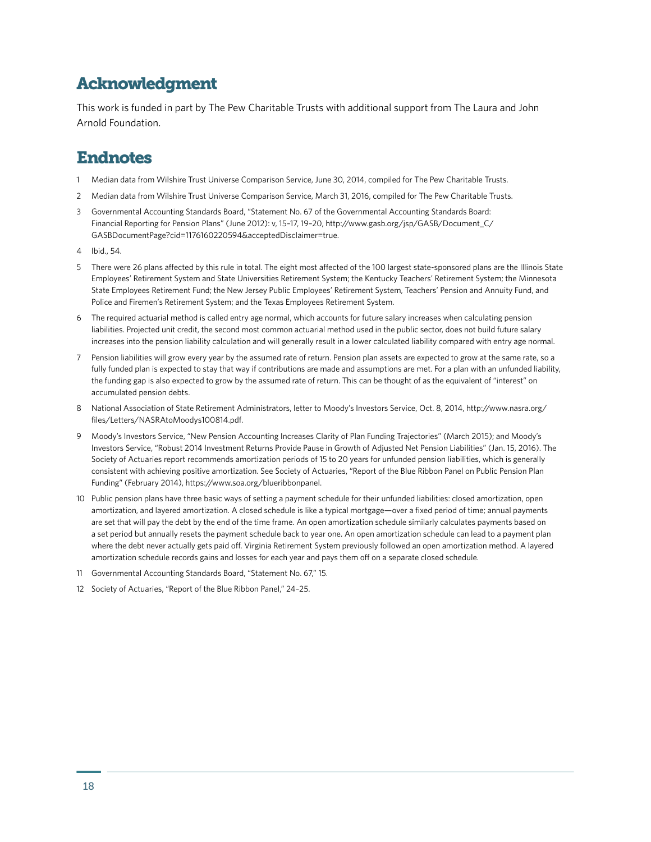### Acknowledgment

This work is funded in part by The Pew Charitable Trusts with additional support from The Laura and John Arnold Foundation.

#### Endnotes

- 1 Median data from Wilshire Trust Universe Comparison Service, June 30, 2014, compiled for The Pew Charitable Trusts.
- 2 Median data from Wilshire Trust Universe Comparison Service, March 31, 2016, compiled for The Pew Charitable Trusts.
- 3 Governmental Accounting Standards Board, "Statement No. 67 of the Governmental Accounting Standards Board: Financial Reporting for Pension Plans" (June 2012): v, 15–17, 19–20, [http://www.gasb.org/jsp/GASB/Document\\_C/](http://www.gasb.org/jsp/GASB/Document_C/GASBDocumentPage?cid=1176160220594&acceptedDisclaimer=true) [GASBDocumentPage?cid=1176160220594&acceptedDisclaimer=true](http://www.gasb.org/jsp/GASB/Document_C/GASBDocumentPage?cid=1176160220594&acceptedDisclaimer=true).
- 4 Ibid., 54.
- 5 There were 26 plans affected by this rule in total. The eight most affected of the 100 largest state-sponsored plans are the Illinois State Employees' Retirement System and State Universities Retirement System; the Kentucky Teachers' Retirement System; the Minnesota State Employees Retirement Fund; the New Jersey Public Employees' Retirement System, Teachers' Pension and Annuity Fund, and Police and Firemen's Retirement System; and the Texas Employees Retirement System.
- 6 The required actuarial method is called entry age normal, which accounts for future salary increases when calculating pension liabilities. Projected unit credit, the second most common actuarial method used in the public sector, does not build future salary increases into the pension liability calculation and will generally result in a lower calculated liability compared with entry age normal.
- 7 Pension liabilities will grow every year by the assumed rate of return. Pension plan assets are expected to grow at the same rate, so a fully funded plan is expected to stay that way if contributions are made and assumptions are met. For a plan with an unfunded liability, the funding gap is also expected to grow by the assumed rate of return. This can be thought of as the equivalent of "interest" on accumulated pension debts.
- 8 National Association of State Retirement Administrators, letter to Moody's Investors Service, Oct. 8, 2014, [http://www.nasra.org/](http://www.nasra.org/files/Letters/NASRAtoMoodys100814.pdf) [files/Letters/NASRAtoMoodys100814.pdf](http://www.nasra.org/files/Letters/NASRAtoMoodys100814.pdf).
- 9 Moody's Investors Service, "New Pension Accounting Increases Clarity of Plan Funding Trajectories" (March 2015); and Moody's Investors Service, "Robust 2014 Investment Returns Provide Pause in Growth of Adjusted Net Pension Liabilities" (Jan. 15, 2016). The Society of Actuaries report recommends amortization periods of 15 to 20 years for unfunded pension liabilities, which is generally consistent with achieving positive amortization. See Society of Actuaries, "Report of the Blue Ribbon Panel on Public Pension Plan Funding" (February 2014), <https://www.soa.org/blueribbonpanel>.
- 10 Public pension plans have three basic ways of setting a payment schedule for their unfunded liabilities: closed amortization, open amortization, and layered amortization. A closed schedule is like a typical mortgage—over a fixed period of time; annual payments are set that will pay the debt by the end of the time frame. An open amortization schedule similarly calculates payments based on a set period but annually resets the payment schedule back to year one. An open amortization schedule can lead to a payment plan where the debt never actually gets paid off. Virginia Retirement System previously followed an open amortization method. A layered amortization schedule records gains and losses for each year and pays them off on a separate closed schedule.
- 11 Governmental Accounting Standards Board, "Statement No. 67," 15.
- 12 Society of Actuaries, "Report of the Blue Ribbon Panel," 24–25.